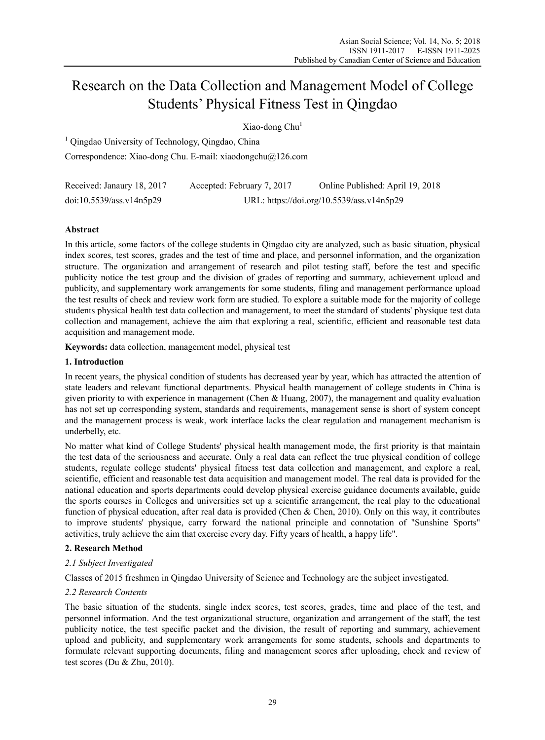# Research on the Data Collection and Management Model of College Students' Physical Fitness Test in Qingdao

Xiao-dong Chu<sup>1</sup>

<sup>1</sup> Qingdao University of Technology, Qingdao, China Correspondence: Xiao-dong Chu. E-mail: xiaodongchu@126.com

| Received: Janaury 18, 2017 | Accepted: February 7, 2017                | Online Published: April 19, 2018 |
|----------------------------|-------------------------------------------|----------------------------------|
| doi:10.5539/ass.v14n5p29   | URL: https://doi.org/10.5539/ass.v14n5p29 |                                  |

# **Abstract**

In this article, some factors of the college students in Qingdao city are analyzed, such as basic situation, physical index scores, test scores, grades and the test of time and place, and personnel information, and the organization structure. The organization and arrangement of research and pilot testing staff, before the test and specific publicity notice the test group and the division of grades of reporting and summary, achievement upload and publicity, and supplementary work arrangements for some students, filing and management performance upload the test results of check and review work form are studied. To explore a suitable mode for the majority of college students physical health test data collection and management, to meet the standard of students' physique test data collection and management, achieve the aim that exploring a real, scientific, efficient and reasonable test data acquisition and management mode.

**Keywords:** data collection, management model, physical test

## **1. Introduction**

In recent years, the physical condition of students has decreased year by year, which has attracted the attention of state leaders and relevant functional departments. Physical health management of college students in China is given priority to with experience in management (Chen & Huang, 2007), the management and quality evaluation has not set up corresponding system, standards and requirements, management sense is short of system concept and the management process is weak, work interface lacks the clear regulation and management mechanism is underbelly, etc.

No matter what kind of College Students' physical health management mode, the first priority is that maintain the test data of the seriousness and accurate. Only a real data can reflect the true physical condition of college students, regulate college students' physical fitness test data collection and management, and explore a real, scientific, efficient and reasonable test data acquisition and management model. The real data is provided for the national education and sports departments could develop physical exercise guidance documents available, guide the sports courses in Colleges and universities set up a scientific arrangement, the real play to the educational function of physical education, after real data is provided (Chen & Chen, 2010). Only on this way, it contributes to improve students' physique, carry forward the national principle and connotation of "Sunshine Sports" activities, truly achieve the aim that exercise every day. Fifty years of health, a happy life".

# **2. Research Method**

# *2.1 Subject Investigated*

Classes of 2015 freshmen in Qingdao University of Science and Technology are the subject investigated.

# *2.2 Research Contents*

The basic situation of the students, single index scores, test scores, grades, time and place of the test, and personnel information. And the test organizational structure, organization and arrangement of the staff, the test publicity notice, the test specific packet and the division, the result of reporting and summary, achievement upload and publicity, and supplementary work arrangements for some students, schools and departments to formulate relevant supporting documents, filing and management scores after uploading, check and review of test scores (Du & Zhu, 2010).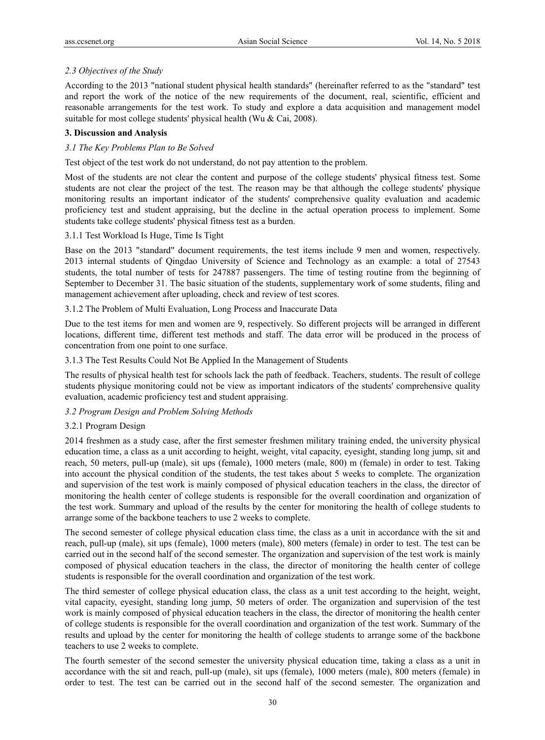# *2.3 Objectives of the Study*

According to the 2013 "national student physical health standards" (hereinafter referred to as the "standard" test and report the work of the notice of the new requirements of the document, real, scientific, efficient and reasonable arrangements for the test work. To study and explore a data acquisition and management model suitable for most college students' physical health (Wu & Cai, 2008).

## **3. Discussion and Analysis**

## *3.1 The Key Problems Plan to Be Solved*

Test object of the test work do not understand, do not pay attention to the problem.

Most of the students are not clear the content and purpose of the college students' physical fitness test. Some students are not clear the project of the test. The reason may be that although the college students' physique monitoring results an important indicator of the students' comprehensive quality evaluation and academic proficiency test and student appraising, but the decline in the actual operation process to implement. Some students take college students' physical fitness test as a burden.

## 3.1.1 Test Workload Is Huge, Time Is Tight

Base on the 2013 "standard" document requirements, the test items include 9 men and women, respectively. 2013 internal students of Qingdao University of Science and Technology as an example: a total of 27543 students, the total number of tests for 247887 passengers. The time of testing routine from the beginning of September to December 31. The basic situation of the students, supplementary work of some students, filing and management achievement after uploading, check and review of test scores.

#### 3.1.2 The Problem of Multi Evaluation, Long Process and Inaccurate Data

Due to the test items for men and women are 9, respectively. So different projects will be arranged in different locations, different time, different test methods and staff. The data error will be produced in the process of concentration from one point to one surface.

#### 3.1.3 The Test Results Could Not Be Applied In the Management of Students

The results of physical health test for schools lack the path of feedback. Teachers, students. The result of college students physique monitoring could not be view as important indicators of the students' comprehensive quality evaluation, academic proficiency test and student appraising.

#### *3.2 Program Design and Problem Solving Methods*

#### 3.2.1 Program Design

2014 freshmen as a study case, after the first semester freshmen military training ended, the university physical education time, a class as a unit according to height, weight, vital capacity, eyesight, standing long jump, sit and reach, 50 meters, pull-up (male), sit ups (female), 1000 meters (male, 800) m (female) in order to test. Taking into account the physical condition of the students, the test takes about 5 weeks to complete. The organization and supervision of the test work is mainly composed of physical education teachers in the class, the director of monitoring the health center of college students is responsible for the overall coordination and organization of the test work. Summary and upload of the results by the center for monitoring the health of college students to arrange some of the backbone teachers to use 2 weeks to complete.

The second semester of college physical education class time, the class as a unit in accordance with the sit and reach, pull-up (male), sit ups (female), 1000 meters (male), 800 meters (female) in order to test. The test can be carried out in the second half of the second semester. The organization and supervision of the test work is mainly composed of physical education teachers in the class, the director of monitoring the health center of college students is responsible for the overall coordination and organization of the test work.

The third semester of college physical education class, the class as a unit test according to the height, weight, vital capacity, eyesight, standing long jump, 50 meters of order. The organization and supervision of the test work is mainly composed of physical education teachers in the class, the director of monitoring the health center of college students is responsible for the overall coordination and organization of the test work. Summary of the results and upload by the center for monitoring the health of college students to arrange some of the backbone teachers to use 2 weeks to complete.

The fourth semester of the second semester the university physical education time, taking a class as a unit in accordance with the sit and reach, pull-up (male), sit ups (female), 1000 meters (male), 800 meters (female) in order to test. The test can be carried out in the second half of the second semester. The organization and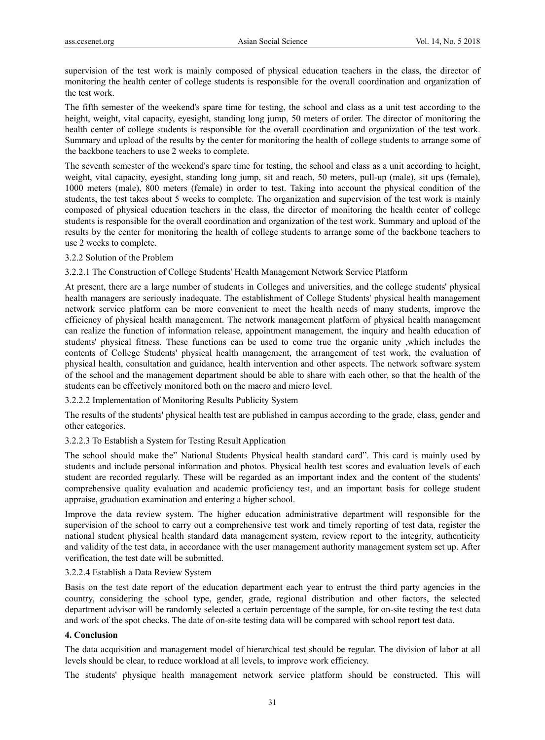supervision of the test work is mainly composed of physical education teachers in the class, the director of monitoring the health center of college students is responsible for the overall coordination and organization of the test work.

The fifth semester of the weekend's spare time for testing, the school and class as a unit test according to the height, weight, vital capacity, eyesight, standing long jump, 50 meters of order. The director of monitoring the health center of college students is responsible for the overall coordination and organization of the test work. Summary and upload of the results by the center for monitoring the health of college students to arrange some of the backbone teachers to use 2 weeks to complete.

The seventh semester of the weekend's spare time for testing, the school and class as a unit according to height, weight, vital capacity, eyesight, standing long jump, sit and reach, 50 meters, pull-up (male), sit ups (female), 1000 meters (male), 800 meters (female) in order to test. Taking into account the physical condition of the students, the test takes about 5 weeks to complete. The organization and supervision of the test work is mainly composed of physical education teachers in the class, the director of monitoring the health center of college students is responsible for the overall coordination and organization of the test work. Summary and upload of the results by the center for monitoring the health of college students to arrange some of the backbone teachers to use 2 weeks to complete.

#### 3.2.2 Solution of the Problem

#### 3.2.2.1 The Construction of College Students' Health Management Network Service Platform

At present, there are a large number of students in Colleges and universities, and the college students' physical health managers are seriously inadequate. The establishment of College Students' physical health management network service platform can be more convenient to meet the health needs of many students, improve the efficiency of physical health management. The network management platform of physical health management can realize the function of information release, appointment management, the inquiry and health education of students' physical fitness. These functions can be used to come true the organic unity ,which includes the contents of College Students' physical health management, the arrangement of test work, the evaluation of physical health, consultation and guidance, health intervention and other aspects. The network software system of the school and the management department should be able to share with each other, so that the health of the students can be effectively monitored both on the macro and micro level.

#### 3.2.2.2 Implementation of Monitoring Results Publicity System

The results of the students' physical health test are published in campus according to the grade, class, gender and other categories.

#### 3.2.2.3 To Establish a System for Testing Result Application

The school should make the" National Students Physical health standard card". This card is mainly used by students and include personal information and photos. Physical health test scores and evaluation levels of each student are recorded regularly. These will be regarded as an important index and the content of the students' comprehensive quality evaluation and academic proficiency test, and an important basis for college student appraise, graduation examination and entering a higher school.

Improve the data review system. The higher education administrative department will responsible for the supervision of the school to carry out a comprehensive test work and timely reporting of test data, register the national student physical health standard data management system, review report to the integrity, authenticity and validity of the test data, in accordance with the user management authority management system set up. After verification, the test date will be submitted.

#### 3.2.2.4 Establish a Data Review System

Basis on the test date report of the education department each year to entrust the third party agencies in the country, considering the school type, gender, grade, regional distribution and other factors, the selected department advisor will be randomly selected a certain percentage of the sample, for on-site testing the test data and work of the spot checks. The date of on-site testing data will be compared with school report test data.

## **4. Conclusion**

The data acquisition and management model of hierarchical test should be regular. The division of labor at all levels should be clear, to reduce workload at all levels, to improve work efficiency.

The students' physique health management network service platform should be constructed. This will